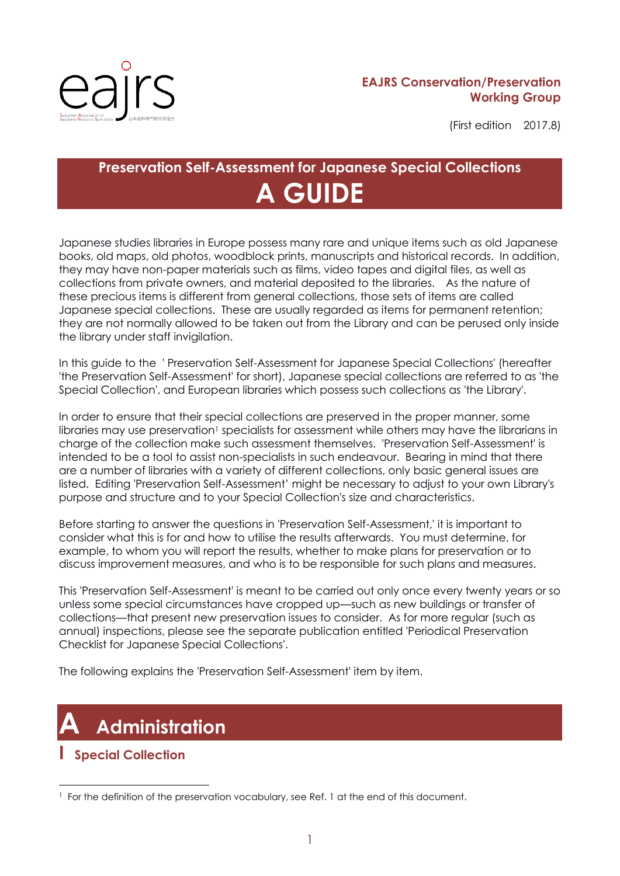

#### **EAJRS Conservation/Preservation Working Group**

(First edition 2017.8)

# **Preservation Self-Assessment for Japanese Special Collections A GUIDE**

Japanese studies libraries in Europe possess many rare and unique items such as old Japanese books, old maps, old photos, woodblock prints, manuscripts and historical records. In addition, they may have non-paper materials such as films, video tapes and digital files, as well as collections from private owners, and material deposited to the libraries. As the nature of these precious items is different from general collections, those sets of items are called Japanese special collections. These are usually regarded as items for permanent retention; they are not normally allowed to be taken out from the Library and can be perused only inside the library under staff invigilation.

In this guide to the ' Preservation Self-Assessment for Japanese Special Collections' (hereafter 'the Preservation Self-Assessment' for short), Japanese special collections are referred to as 'the Special Collection', and European libraries which possess such collections as 'the Library'.

In order to ensure that their special collections are preserved in the proper manner, some libraries may use preservation<sup>1</sup> specialists for assessment while others may have the librarians in charge of the collection make such assessment themselves. 'Preservation Self-Assessment' is intended to be a tool to assist non-specialists in such endeavour. Bearing in mind that there are a number of libraries with a variety of different collections, only basic general issues are listed. Editing 'Preservation Self-Assessment' might be necessary to adjust to your own Library's purpose and structure and to your Special Collection's size and characteristics.

Before starting to answer the questions in 'Preservation Self-Assessment,' it is important to consider what this is for and how to utilise the results afterwards. You must determine, for example, to whom you will report the results, whether to make plans for preservation or to discuss improvement measures, and who is to be responsible for such plans and measures.

This 'Preservation Self-Assessment' is meant to be carried out only once every twenty years or so unless some special circumstances have cropped up—such as new buildings or transfer of collections—that present new preservation issues to consider. As for more regular (such as annual) inspections, please see the separate publication entitled 'Periodical Preservation Checklist for Japanese Special Collections'.

The following explains the 'Preservation Self-Assessment' item by item.

# **A Administration**

### **I Special Collection**

<sup>1</sup> <sup>1</sup> For the definition of the preservation vocabulary, see Ref. 1 at the end of this document.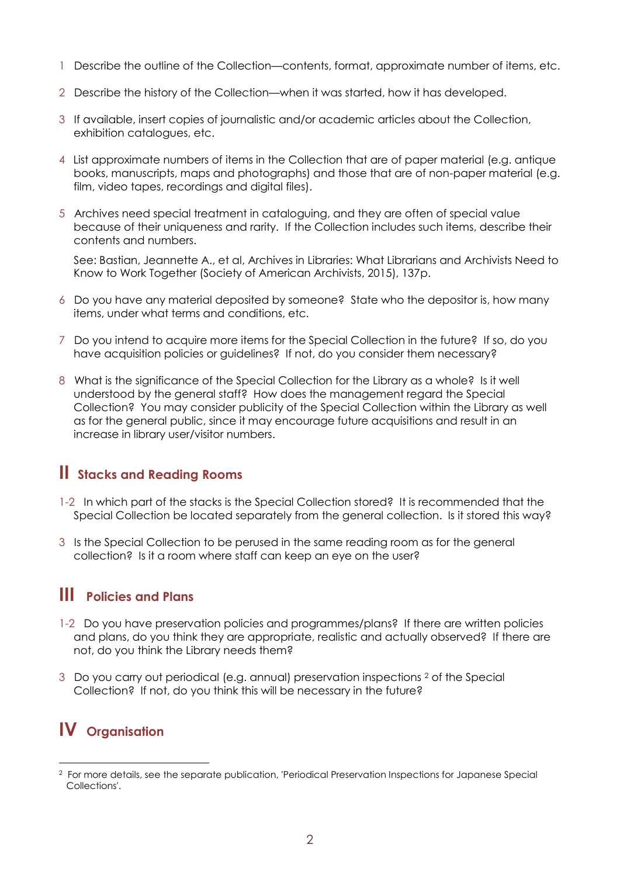- 1 Describe the outline of the Collection—contents, format, approximate number of items, etc.
- 2 Describe the history of the Collection—when it was started, how it has developed.
- 3 If available, insert copies of journalistic and/or academic articles about the Collection, exhibition catalogues, etc.
- 4 List approximate numbers of items in the Collection that are of paper material (e.g. antique books, manuscripts, maps and photographs) and those that are of non-paper material (e.g. film, video tapes, recordings and digital files).
- 5 Archives need special treatment in cataloguing, and they are often of special value because of their uniqueness and rarity. If the Collection includes such items, describe their contents and numbers.

See: Bastian, Jeannette A., et al, Archives in Libraries: What Librarians and Archivists Need to Know to Work Together (Society of American Archivists, 2015), 137p.

- 6 Do you have any material deposited by someone? State who the depositor is, how many items, under what terms and conditions, etc.
- 7 Do you intend to acquire more items for the Special Collection in the future? If so, do you have acquisition policies or guidelines? If not, do you consider them necessary?
- 8 What is the significance of the Special Collection for the Library as a whole? Is it well understood by the general staff? How does the management regard the Special Collection? You may consider publicity of the Special Collection within the Library as well as for the general public, since it may encourage future acquisitions and result in an increase in library user/visitor numbers.

### **II Stacks and Reading Rooms**

- 1-2 In which part of the stacks is the Special Collection stored? It is recommended that the Special Collection be located separately from the general collection. Is it stored this way?
- 3 Is the Special Collection to be perused in the same reading room as for the general collection? Is it a room where staff can keep an eye on the user?

### **III Policies and Plans**

- 1-2 Do you have preservation policies and programmes/plans? If there are written policies and plans, do you think they are appropriate, realistic and actually observed? If there are not, do you think the Library needs them?
- 3 Do you carry out periodical (e.g. annual) preservation inspections <sup>2</sup> of the Special Collection? If not, do you think this will be necessary in the future?

### **IV Organisation**

<sup>1</sup> 2 For more details, see the separate publication, 'Periodical Preservation Inspections for Japanese Special Collections'.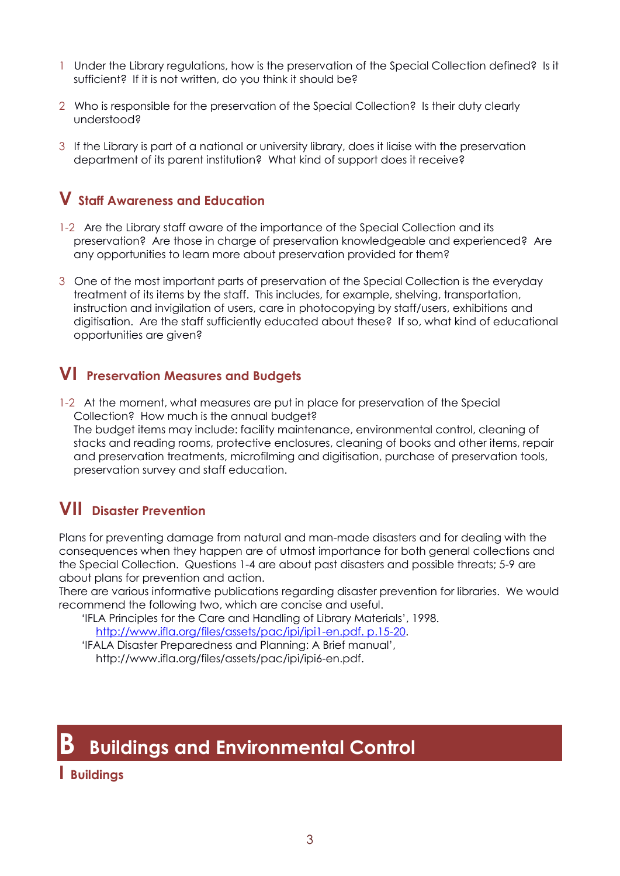- 1 Under the Library regulations, how is the preservation of the Special Collection defined? Is it sufficient? If it is not written, do you think it should be?
- 2 Who is responsible for the preservation of the Special Collection? Is their duty clearly understood?
- 3 If the Library is part of a national or university library, does it liaise with the preservation department of its parent institution? What kind of support does it receive?

### **V Staff Awareness and Education**

- 1-2 Are the Library staff aware of the importance of the Special Collection and its preservation? Are those in charge of preservation knowledgeable and experienced? Are any opportunities to learn more about preservation provided for them?
- 3 One of the most important parts of preservation of the Special Collection is the everyday treatment of its items by the staff. This includes, for example, shelving, transportation, instruction and invigilation of users, care in photocopying by staff/users, exhibitions and digitisation. Are the staff sufficiently educated about these? If so, what kind of educational opportunities are given?

### **VI Preservation Measures and Budgets**

1-2 At the moment, what measures are put in place for preservation of the Special Collection? How much is the annual budget? The budget items may include: facility maintenance, environmental control, cleaning of stacks and reading rooms, protective enclosures, cleaning of books and other items, repair and preservation treatments, microfilming and digitisation, purchase of preservation tools, preservation survey and staff education.

### **VII Disaster Prevention**

Plans for preventing damage from natural and man-made disasters and for dealing with the consequences when they happen are of utmost importance for both general collections and the Special Collection. Questions 1-4 are about past disasters and possible threats; 5-9 are about plans for prevention and action.

There are various informative publications regarding disaster prevention for libraries. We would recommend the following two, which are concise and useful.

'IFLA Principles for the Care and Handling of Library Materials', 1998. [http://www.ifla.org/files/assets/pac/ipi/ipi1-en.pdf. p.15-20.](http://www.ifla.org/files/assets/pac/ipi/ipi1-en.pdf.%20p.15-20)

'IFALA Disaster Preparedness and Planning: A Brief manual', http://www.ifla.org/files/assets/pac/ipi/ipi6-en.pdf.

# **B Buildings and Environmental Control**

### **I Buildings**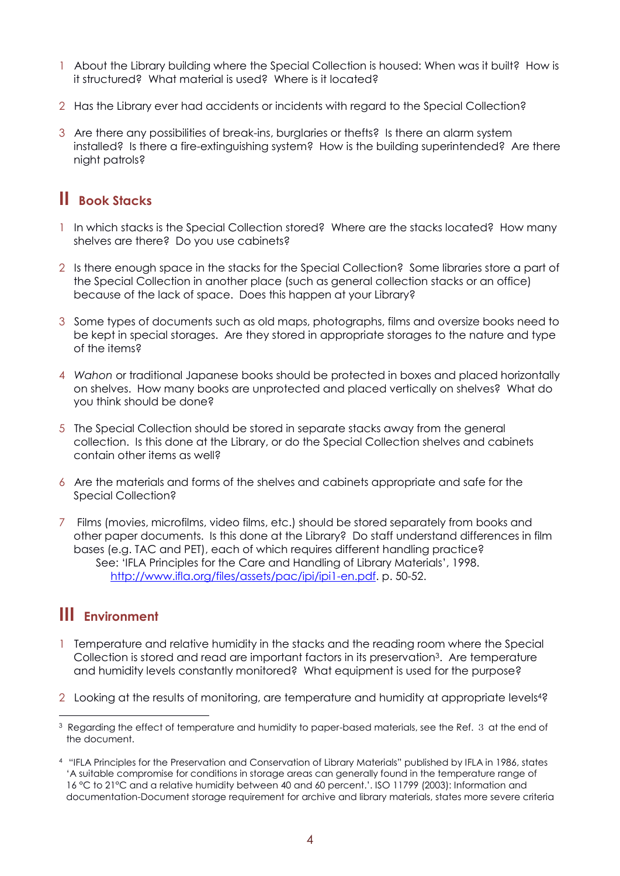- 1 About the Library building where the Special Collection is housed: When was it built? How is it structured? What material is used? Where is it located?
- 2 Has the Library ever had accidents or incidents with regard to the Special Collection?
- 3 Are there any possibilities of break-ins, burglaries or thefts? Is there an alarm system installed? Is there a fire-extinguishing system? How is the building superintended? Are there night patrols?

### **II Book Stacks**

- 1 In which stacks is the Special Collection stored? Where are the stacks located? How many shelves are there? Do you use cabinets?
- 2 Is there enough space in the stacks for the Special Collection? Some libraries store a part of the Special Collection in another place (such as general collection stacks or an office) because of the lack of space. Does this happen at your Library?
- 3 Some types of documents such as old maps, photographs, films and oversize books need to be kept in special storages. Are they stored in appropriate storages to the nature and type of the items?
- 4 *Wahon* or traditional Japanese books should be protected in boxes and placed horizontally on shelves. How many books are unprotected and placed vertically on shelves? What do you think should be done?
- 5 The Special Collection should be stored in separate stacks away from the general collection. Is this done at the Library, or do the Special Collection shelves and cabinets contain other items as well?
- 6 Are the materials and forms of the shelves and cabinets appropriate and safe for the Special Collection?
- 7 Films (movies, microfilms, video films, etc.) should be stored separately from books and other paper documents. Is this done at the Library? Do staff understand differences in film bases (e.g. TAC and PET), each of which requires different handling practice? See: 'IFLA Principles for the Care and Handling of Library Materials', 1998. [http://www.ifla.org/files/assets/pac/ipi/ipi1-en.pdf.](http://www.ifla.org/files/assets/pac/ipi/ipi1-en.pdf) p. 50-52.

### **III Environment**

1

- 1 Temperature and relative humidity in the stacks and the reading room where the Special Collection is stored and read are important factors in its preservation3. Are temperature and humidity levels constantly monitored? What equipment is used for the purpose?
- 2 Looking at the results of monitoring, are temperature and humidity at appropriate levels<sup>42</sup>

<sup>&</sup>lt;sup>3</sup> Regarding the effect of temperature and humidity to paper-based materials, see the Ref. 3 at the end of the document.

<sup>4</sup> "IFLA Principles for the Preservation and Conservation of Library Materials" published by IFLA in 1986, states 'A suitable compromise for conditions in storage areas can generally found in the temperature range of 16 °C to 21°C and a relative humidity between 40 and 60 percent.'. ISO 11799 (2003): Information and documentation-Document storage requirement for archive and library materials, states more severe criteria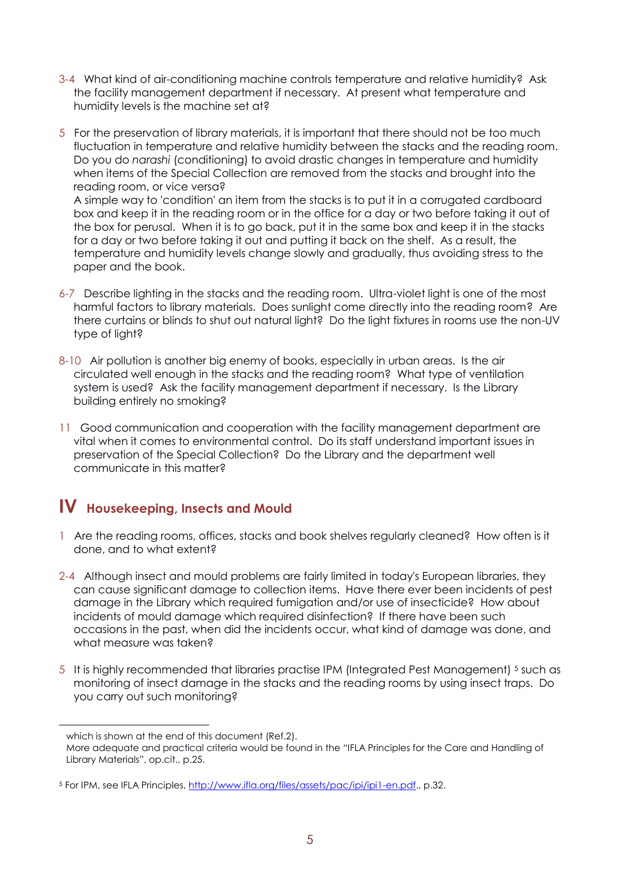- 3-4 What kind of air-conditioning machine controls temperature and relative humidity? Ask the facility management department if necessary. At present what temperature and humidity levels is the machine set at?
- 5 For the preservation of library materials, it is important that there should not be too much fluctuation in temperature and relative humidity between the stacks and the reading room. Do you do *narashi* (conditioning) to avoid drastic changes in temperature and humidity when items of the Special Collection are removed from the stacks and brought into the reading room, or vice versa? A simple way to 'condition' an item from the stacks is to put it in a corrugated cardboard

box and keep it in the reading room or in the office for a day or two before taking it out of the box for perusal. When it is to go back, put it in the same box and keep it in the stacks for a day or two before taking it out and putting it back on the shelf. As a result, the temperature and humidity levels change slowly and gradually, thus avoiding stress to the paper and the book.

- 6-7 Describe lighting in the stacks and the reading room. Ultra-violet light is one of the most harmful factors to library materials. Does sunlight come directly into the reading room? Are there curtains or blinds to shut out natural light? Do the light fixtures in rooms use the non-UV type of light?
- 8-10 Air pollution is another big enemy of books, especially in urban areas. Is the air circulated well enough in the stacks and the reading room? What type of ventilation system is used? Ask the facility management department if necessary. Is the Library building entirely no smoking?
- 11 Good communication and cooperation with the facility management department are vital when it comes to environmental control. Do its staff understand important issues in preservation of the Special Collection? Do the Library and the department well communicate in this matter?

### **IV Housekeeping, Insects and Mould**

- 1 Are the reading rooms, offices, stacks and book shelves regularly cleaned? How often is it done, and to what extent?
- 2-4 Although insect and mould problems are fairly limited in today's European libraries, they can cause significant damage to collection items. Have there ever been incidents of pest damage in the Library which required fumigation and/or use of insecticide? How about incidents of mould damage which required disinfection? If there have been such occasions in the past, when did the incidents occur, what kind of damage was done, and what measure was taken?
- 5 It is highly recommended that libraries practise IPM (Integrated Pest Management) <sup>5</sup> such as monitoring of insect damage in the stacks and the reading rooms by using insect traps. Do you carry out such monitoring?

<u>.</u>

which is shown at the end of this document (Ref.2).

More adequate and practical criteria would be found in the "IFLA Principles for the Care and Handling of Library Materials", op.cit., p.25.

<sup>5</sup> For IPM, see IFLA Principles, [http://www.ifla.org/files/assets/pac/ipi/ipi1-en.pdf.,](http://www.ifla.org/files/assets/pac/ipi/ipi1-en.pdf) p.32.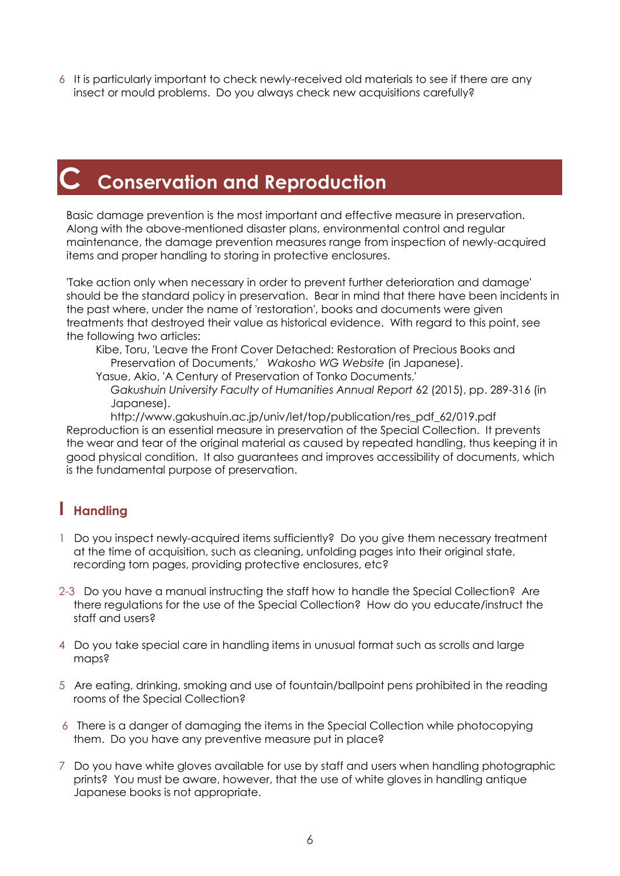6 It is particularly important to check newly-received old materials to see if there are any insect or mould problems. Do you always check new acquisitions carefully?

# **C Conservation and Reproduction**

Basic damage prevention is the most important and effective measure in preservation. Along with the above-mentioned disaster plans, environmental control and regular maintenance, the damage prevention measures range from inspection of newly-acquired items and proper handling to storing in protective enclosures.

'Take action only when necessary in order to prevent further deterioration and damage' should be the standard policy in preservation. Bear in mind that there have been incidents in the past where, under the name of 'restoration', books and documents were given treatments that destroyed their value as historical evidence. With regard to this point, see the following two articles:

Kibe, Toru, 'Leave the Front Cover Detached: Restoration of Precious Books and Preservation of Documents,' *Wakosho WG Website* (in Japanese).

Yasue, Akio, 'A Century of Preservation of Tonko Documents,'

*Gakushuin University Faculty of Humanities Annual Report* 62 (2015), pp. 289-316 (in Japanese).

http://www.gakushuin.ac.jp/univ/let/top/publication/res\_pdf\_62/019.pdf Reproduction is an essential measure in preservation of the Special Collection. It prevents the wear and tear of the original material as caused by repeated handling, thus keeping it in good physical condition. It also guarantees and improves accessibility of documents, which is the fundamental purpose of preservation.

### **I Handling**

- 1 Do you inspect newly-acquired items sufficiently? Do you give them necessary treatment at the time of acquisition, such as cleaning, unfolding pages into their original state, recording torn pages, providing protective enclosures, etc?
- 2-3 Do you have a manual instructing the staff how to handle the Special Collection? Are there regulations for the use of the Special Collection? How do you educate/instruct the staff and users?
- 4 Do you take special care in handling items in unusual format such as scrolls and large maps?
- 5 Are eating, drinking, smoking and use of fountain/ballpoint pens prohibited in the reading rooms of the Special Collection?
- 6 There is a danger of damaging the items in the Special Collection while photocopying them. Do you have any preventive measure put in place?
- 7 Do you have white gloves available for use by staff and users when handling photographic prints? You must be aware, however, that the use of white gloves in handling antique Japanese books is not appropriate.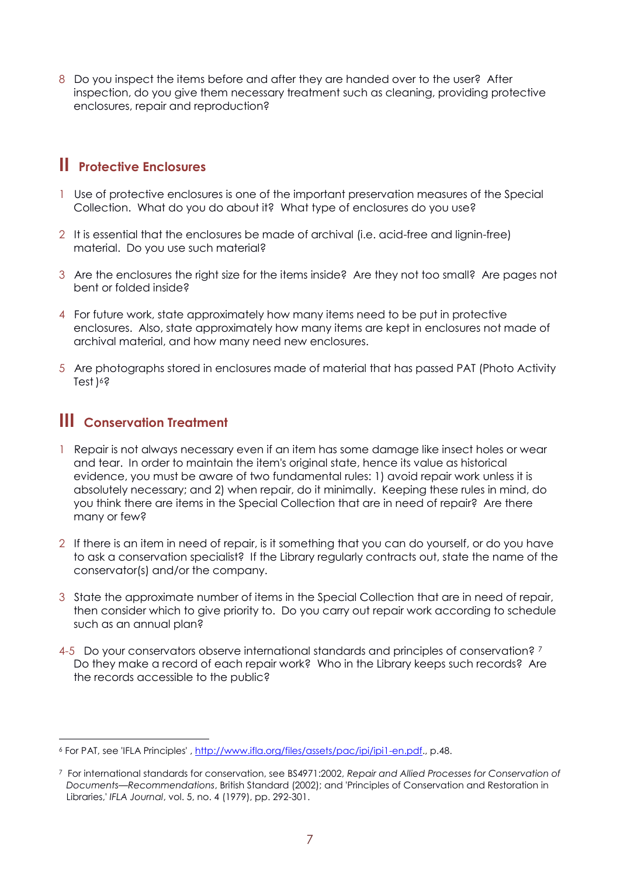8 Do you inspect the items before and after they are handed over to the user? After inspection, do you give them necessary treatment such as cleaning, providing protective enclosures, repair and reproduction?

### **II Protective Enclosures**

- 1 Use of protective enclosures is one of the important preservation measures of the Special Collection. What do you do about it? What type of enclosures do you use?
- 2 It is essential that the enclosures be made of archival (i.e. acid-free and lignin-free) material. Do you use such material?
- 3 Are the enclosures the right size for the items inside? Are they not too small? Are pages not bent or folded inside?
- 4 For future work, state approximately how many items need to be put in protective enclosures. Also, state approximately how many items are kept in enclosures not made of archival material, and how many need new enclosures.
- 5 Are photographs stored in enclosures made of material that has passed PAT (Photo Activity Test) <sup>6</sup>?

### **III Conservation Treatment**

- 1 Repair is not always necessary even if an item has some damage like insect holes or wear and tear. In order to maintain the item's original state, hence its value as historical evidence, you must be aware of two fundamental rules: 1) avoid repair work unless it is absolutely necessary; and 2) when repair, do it minimally. Keeping these rules in mind, do you think there are items in the Special Collection that are in need of repair? Are there many or few?
- 2 If there is an item in need of repair, is it something that you can do yourself, or do you have to ask a conservation specialist? If the Library regularly contracts out, state the name of the conservator(s) and/or the company.
- 3 State the approximate number of items in the Special Collection that are in need of repair, then consider which to give priority to. Do you carry out repair work according to schedule such as an annual plan?
- 4-5 Do your conservators observe international standards and principles of conservation? <sup>7</sup> Do they make a record of each repair work? Who in the Library keeps such records? Are the records accessible to the public?

<sup>&</sup>lt;u>.</u> <sup>6</sup> For PAT, see 'IFLA Principles' , [http://www.ifla.org/files/assets/pac/ipi/ipi1-en.pdf.](http://www.ifla.org/files/assets/pac/ipi/ipi1-en.pdf), p.48.

<sup>7</sup> For international standards for conservation, see BS4971:2002, *Repair and Allied Processes for Conservation of Documents—Recommendations*, British Standard (2002); and 'Principles of Conservation and Restoration in Libraries,' *IFLA Journal*, vol. 5, no. 4 (1979), pp. 292-301.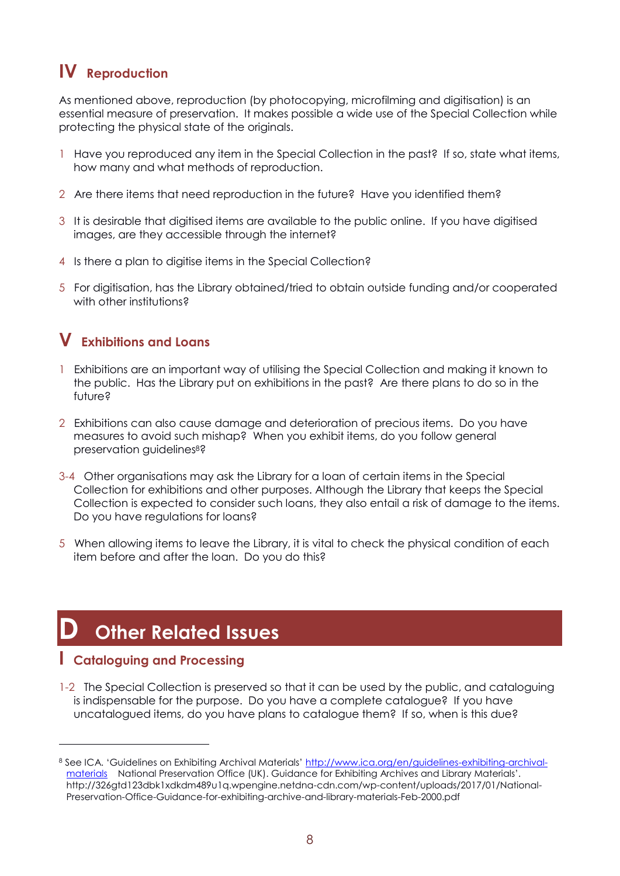## **IV Reproduction**

As mentioned above, reproduction (by photocopying, microfilming and digitisation) is an essential measure of preservation. It makes possible a wide use of the Special Collection while protecting the physical state of the originals.

- 1 Have you reproduced any item in the Special Collection in the past? If so, state what items, how many and what methods of reproduction.
- 2 Are there items that need reproduction in the future? Have you identified them?
- 3 It is desirable that digitised items are available to the public online. If you have digitised images, are they accessible through the internet?
- 4 Is there a plan to digitise items in the Special Collection?
- 5 For digitisation, has the Library obtained/tried to obtain outside funding and/or cooperated with other institutions?

### **V Exhibitions and Loans**

- 1 Exhibitions are an important way of utilising the Special Collection and making it known to the public. Has the Library put on exhibitions in the past? Are there plans to do so in the future?
- 2 Exhibitions can also cause damage and deterioration of precious items. Do you have measures to avoid such mishap? When you exhibit items, do you follow general preservation guidelines<sup>8</sup>?
- 3-4 Other organisations may ask the Library for a loan of certain items in the Special Collection for exhibitions and other purposes. Although the Library that keeps the Special Collection is expected to consider such loans, they also entail a risk of damage to the items. Do you have regulations for loans?
- 5 When allowing items to leave the Library, it is vital to check the physical condition of each item before and after the loan. Do you do this?

# **D Other Related Issues**

#### **I Cataloguing and Processing**

1

1-2 The Special Collection is preserved so that it can be used by the public, and cataloguing is indispensable for the purpose. Do you have a complete catalogue? If you have uncatalogued items, do you have plans to catalogue them? If so, when is this due?

<sup>8</sup> See ICA. 'Guidelines on Exhibiting Archival Materials' [http://www.ica.org/en/guidelines-exhibiting-archival](http://www.ica.org/en/guidelines-exhibiting-archival-materials)[materials](http://www.ica.org/en/guidelines-exhibiting-archival-materials) National Preservation Office (UK). Guidance for Exhibiting Archives and Library Materials'. http://326gtd123dbk1xdkdm489u1q.wpengine.netdna-cdn.com/wp-content/uploads/2017/01/National-Preservation-Office-Guidance-for-exhibiting-archive-and-library-materials-Feb-2000.pdf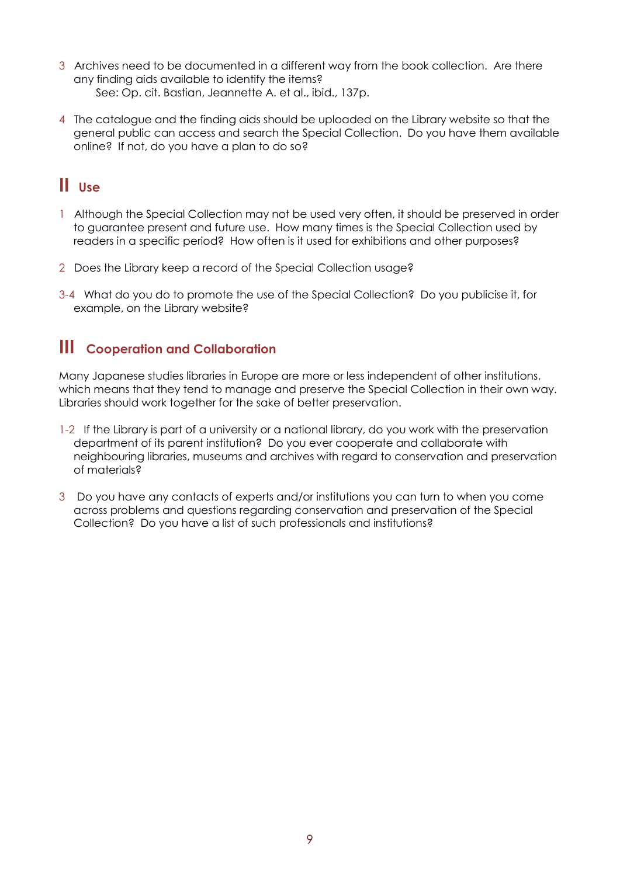- 3 Archives need to be documented in a different way from the book collection. Are there any finding aids available to identify the items? See: Op. cit. Bastian, Jeannette A. et al., ibid., 137p.
- 4 The catalogue and the finding aids should be uploaded on the Library website so that the general public can access and search the Special Collection. Do you have them available online? If not, do you have a plan to do so?

### **II Use**

- 1 Although the Special Collection may not be used very often, it should be preserved in order to guarantee present and future use. How many times is the Special Collection used by readers in a specific period? How often is it used for exhibitions and other purposes?
- 2 Does the Library keep a record of the Special Collection usage?
- 3-4 What do you do to promote the use of the Special Collection? Do you publicise it, for example, on the Library website?

### **III Cooperation and Collaboration**

Many Japanese studies libraries in Europe are more or less independent of other institutions, which means that they tend to manage and preserve the Special Collection in their own way. Libraries should work together for the sake of better preservation.

- 1-2 If the Library is part of a university or a national library, do you work with the preservation department of its parent institution? Do you ever cooperate and collaborate with neighbouring libraries, museums and archives with regard to conservation and preservation of materials?
- 3 Do you have any contacts of experts and/or institutions you can turn to when you come across problems and questions regarding conservation and preservation of the Special Collection? Do you have a list of such professionals and institutions?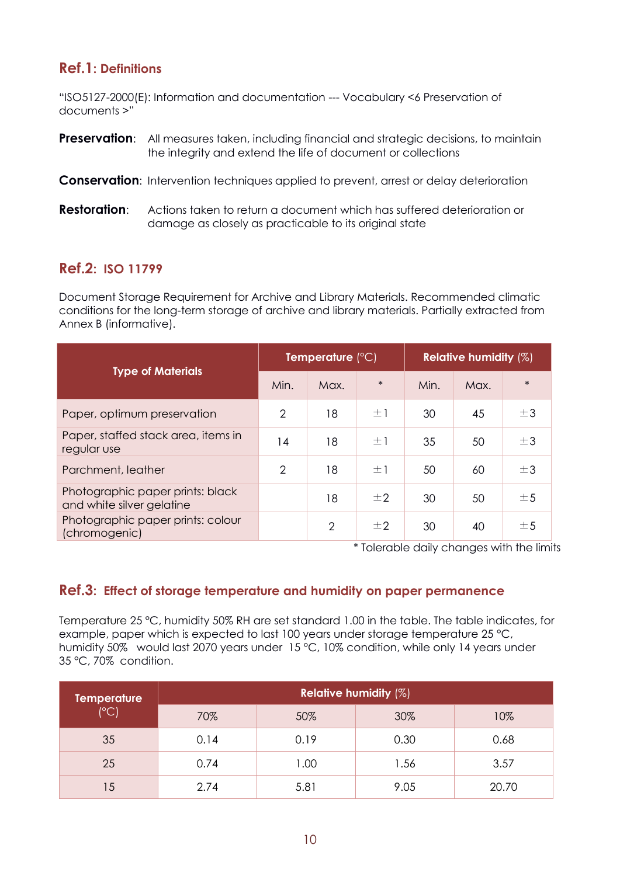### **Ref.1: Definitions**

"ISO5127-2000(E): Information and documentation --- Vocabulary <6 Preservation of documents >"

- **Preservation:** All measures taken, including financial and strategic decisions, to maintain the integrity and extend the life of document or collections
- **Conservation**: Intervention techniques applied to prevent, arrest or delay deterioration
- **Restoration**: Actions taken to return a document which has suffered deterioration or damage as closely as practicable to its original state

#### **Ref.2: ISO 11799**

Document Storage Requirement for Archive and Library Materials. Recommended climatic conditions for the long-term storage of archive and library materials. Partially extracted from Annex B (informative).

|                                                               | Temperature $(^{\circ}C)$ |                |         | <b>Relative humidity <math>(\%)</math></b> |      |        |
|---------------------------------------------------------------|---------------------------|----------------|---------|--------------------------------------------|------|--------|
| <b>Type of Materials</b>                                      | Min.                      | Max.           | $\ast$  | Min.                                       | Max. | $\ast$ |
| Paper, optimum preservation                                   | 2                         | 18             | $\pm 1$ | 30                                         | 45   | ±3     |
| Paper, staffed stack area, items in<br>regular use            | 14                        | 18             | $\pm 1$ | 35                                         | 50   | ±3     |
| Parchment, leather                                            | 2                         | 18             | $\pm 1$ | 50                                         | 60   | ±3     |
| Photographic paper prints: black<br>and white silver gelatine |                           | 18             | ±2      | 30                                         | 50   | ±5     |
| Photographic paper prints: colour<br>(chromogenic)            |                           | $\overline{2}$ | $\pm 2$ | 30                                         | 40   | ±5     |

\* Tolerable daily changes with the limits

#### **Ref.3: Effect of storage temperature and humidity on paper permanence**

Temperature 25 °C, humidity 50% RH are set standard 1.00 in the table. The table indicates, for example, paper which is expected to last 100 years under storage temperature 25 °C, humidity 50% would last 2070 years under 15 °C, 10% condition, while only 14 years under 35 °C, 70% condition.

| <b>Temperature</b><br>$(^{\circ}C)$ | <b>Relative humidity (%)</b> |      |      |       |  |  |  |
|-------------------------------------|------------------------------|------|------|-------|--|--|--|
|                                     | 70%                          | 50%  | 30%  | 10%   |  |  |  |
| 35                                  | 0.14                         | 0.19 | 0.30 | 0.68  |  |  |  |
| 25                                  | 0.74                         | 1.00 | 1.56 | 3.57  |  |  |  |
| 15                                  | 2.74                         | 5.81 | 9.05 | 20.70 |  |  |  |